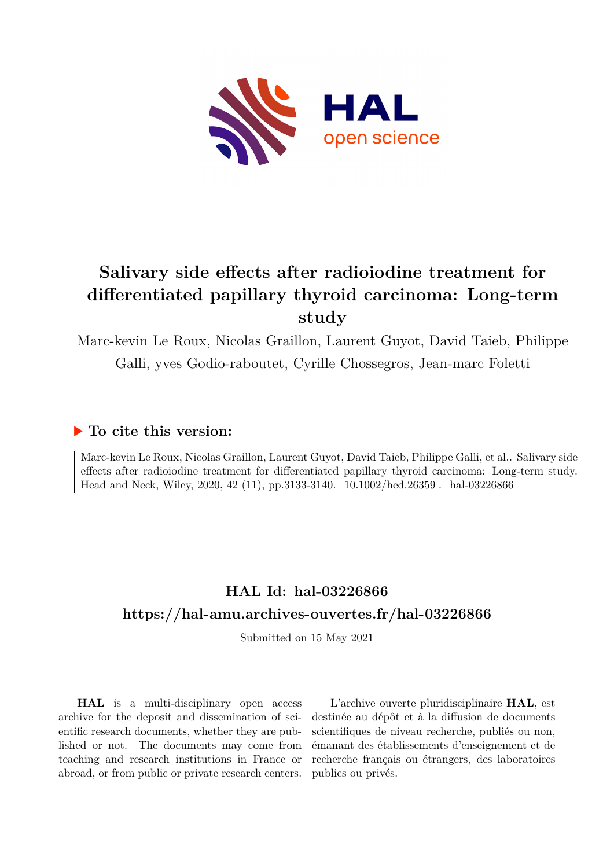

## **Salivary side effects after radioiodine treatment for differentiated papillary thyroid carcinoma: Long-term study**

Marc-kevin Le Roux, Nicolas Graillon, Laurent Guyot, David Taieb, Philippe Galli, yves Godio-raboutet, Cyrille Chossegros, Jean-marc Foletti

## **To cite this version:**

Marc-kevin Le Roux, Nicolas Graillon, Laurent Guyot, David Taieb, Philippe Galli, et al.. Salivary side effects after radioiodine treatment for differentiated papillary thyroid carcinoma: Long-term study. Head and Neck, Wiley, 2020, 42 (11), pp.3133-3140. 10.1002/hed.26359 . hal-03226866

## **HAL Id: hal-03226866 <https://hal-amu.archives-ouvertes.fr/hal-03226866>**

Submitted on 15 May 2021

**HAL** is a multi-disciplinary open access archive for the deposit and dissemination of scientific research documents, whether they are published or not. The documents may come from teaching and research institutions in France or abroad, or from public or private research centers.

L'archive ouverte pluridisciplinaire **HAL**, est destinée au dépôt et à la diffusion de documents scientifiques de niveau recherche, publiés ou non, émanant des établissements d'enseignement et de recherche français ou étrangers, des laboratoires publics ou privés.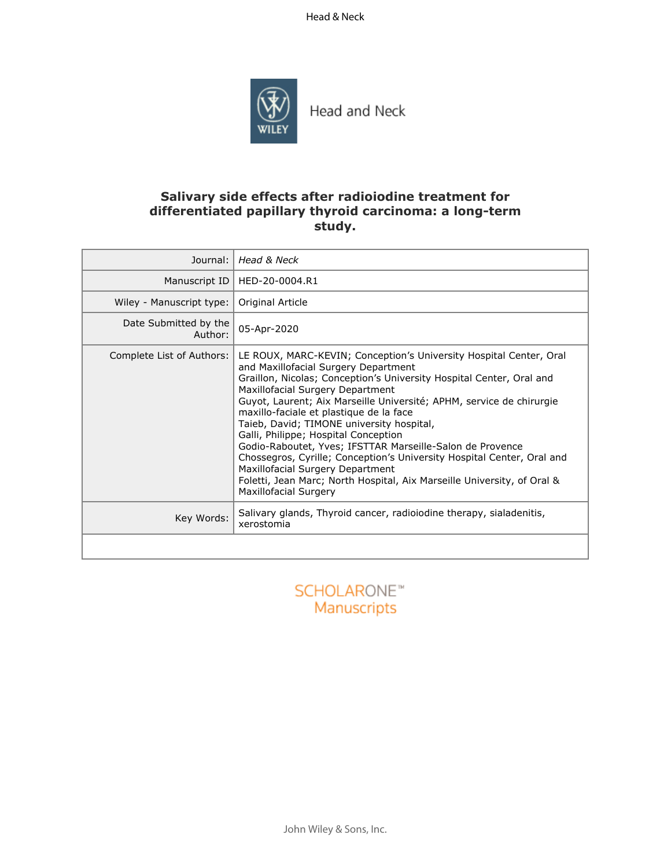Head & Neck



Head and Neck

### **Salivary side effects after radioiodine treatment for differentiated papillary thyroid carcinoma: a long-term study.**

| Journal:                         | Head & Neck                                                                                                                                                                                                                                                                                                                                                                                                                                                                                                                                                                                                                                                                                                   |
|----------------------------------|---------------------------------------------------------------------------------------------------------------------------------------------------------------------------------------------------------------------------------------------------------------------------------------------------------------------------------------------------------------------------------------------------------------------------------------------------------------------------------------------------------------------------------------------------------------------------------------------------------------------------------------------------------------------------------------------------------------|
| Manuscript ID                    | HED-20-0004.R1                                                                                                                                                                                                                                                                                                                                                                                                                                                                                                                                                                                                                                                                                                |
| Wiley - Manuscript type:         | Original Article                                                                                                                                                                                                                                                                                                                                                                                                                                                                                                                                                                                                                                                                                              |
| Date Submitted by the<br>Author: | 05-Apr-2020                                                                                                                                                                                                                                                                                                                                                                                                                                                                                                                                                                                                                                                                                                   |
| Complete List of Authors:        | LE ROUX, MARC-KEVIN; Conception's University Hospital Center, Oral<br>and Maxillofacial Surgery Department<br>Graillon, Nicolas; Conception's University Hospital Center, Oral and<br>Maxillofacial Surgery Department<br>Guyot, Laurent; Aix Marseille Université; APHM, service de chirurgie<br>maxillo-faciale et plastique de la face<br>Taieb, David; TIMONE university hospital,<br>Galli, Philippe; Hospital Conception<br>Godio-Raboutet, Yves; IFSTTAR Marseille-Salon de Provence<br>Chossegros, Cyrille; Conception's University Hospital Center, Oral and<br>Maxillofacial Surgery Department<br>Foletti, Jean Marc; North Hospital, Aix Marseille University, of Oral &<br>Maxillofacial Surgery |
| Key Words:                       | Salivary glands, Thyroid cancer, radioiodine therapy, sialadenitis,<br>xerostomia                                                                                                                                                                                                                                                                                                                                                                                                                                                                                                                                                                                                                             |
|                                  |                                                                                                                                                                                                                                                                                                                                                                                                                                                                                                                                                                                                                                                                                                               |

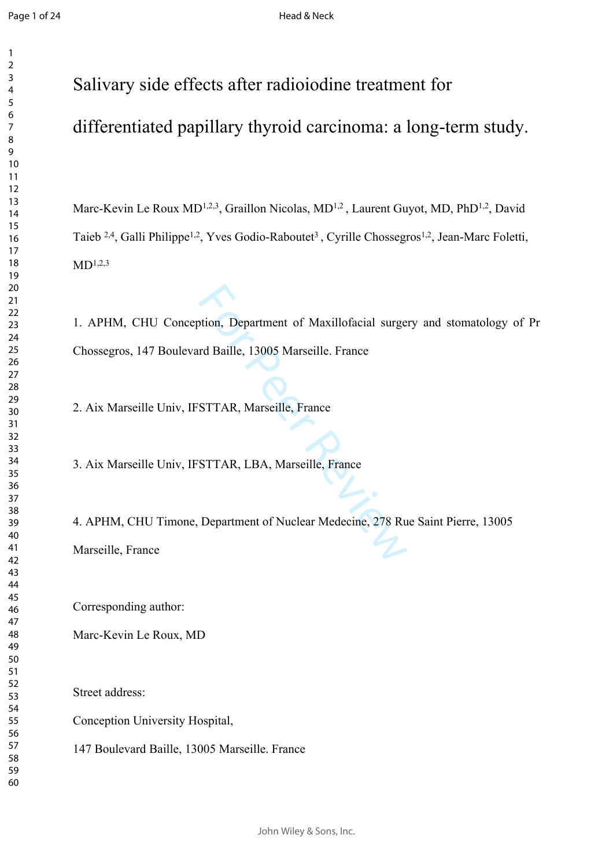$\mathbf{1}$  $\overline{2}$ 

# Salivary side effects after radioiodine treatment for differentiated papillary thyroid carcinoma: a long-term study.

Marc-Kevin Le Roux MD<sup>1,2,3</sup>, Graillon Nicolas, MD<sup>1,2</sup>, Laurent Guyot, MD, PhD<sup>1,2</sup>, David Taieb <sup>2,4</sup>, Galli Philippe<sup>1,2</sup>, Yves Godio-Raboutet<sup>3</sup>, Cyrille Chossegros<sup>1,2</sup>, Jean-Marc Foletti,  $MD<sup>1,2,3</sup>$ 

otion, Department of Maxillofacial surge<br>rd Baille, 13005 Marseille. France<br>STTAR, Marseille, France<br>STTAR, LBA, Marseille, France<br>Department of Nuclear Medecine, 278 Ru 1. APHM, CHU Conception, Department of Maxillofacial surgery and stomatology of Pr Chossegros, 147 Boulevard Baille, 13005 Marseille. France

2. Aix Marseille Univ, IFSTTAR, Marseille, France

3. Aix Marseille Univ, IFSTTAR, LBA, Marseille, France

4. APHM, CHU Timone, Department of Nuclear Medecine, 278 Rue Saint Pierre, 13005 Marseille, France

Corresponding author:

Marc-Kevin Le Roux, MD

Street address:

Conception University Hospital,

147 Boulevard Baille, 13005 Marseille. France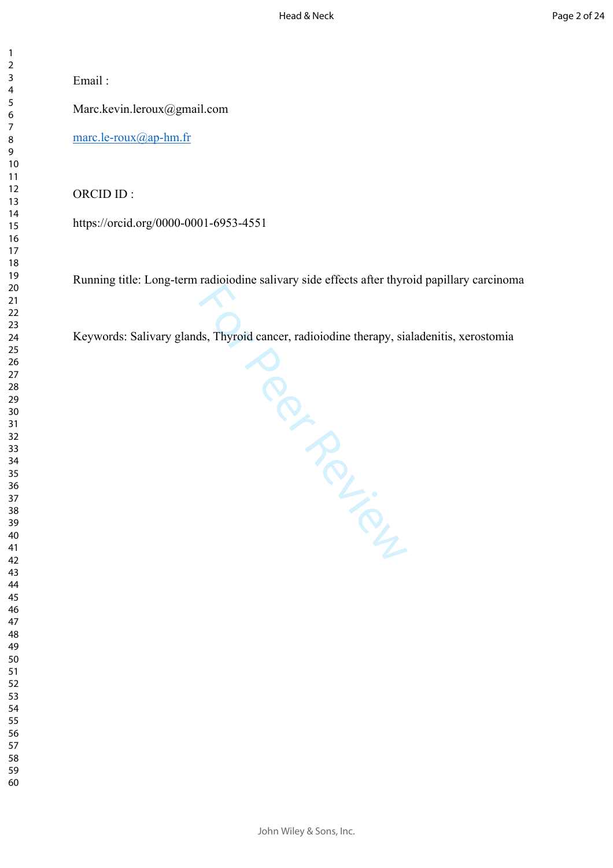Email :

Marc.kevin.leroux@gmail.com

[marc.le-roux@ap-hm.fr](mailto:marc.le-roux@ap-hm.fr)

ORCID ID :

https://orcid.org/0000-0001-6953-4551

Running title: Long-term radioiodine salivary side effects after thyroid papillary carcinoma

Fhyroid ca... Keywords: Salivary glands, Thyroid cancer, radioiodine therapy, sialadenitis, xerostomia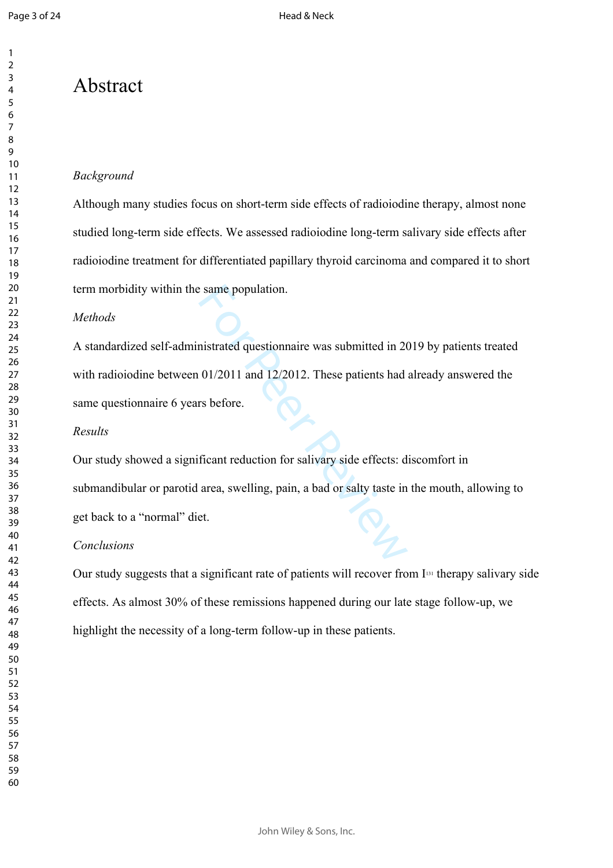$\mathbf{1}$  $\overline{2}$ 

## Abstract

#### *Background*

Although many studies focus on short-term side effects of radioiodine therapy, almost none studied long-term side effects. We assessed radioiodine long-term salivary side effects after radioiodine treatment for differentiated papillary thyroid carcinoma and compared it to short term morbidity within the same population.

#### *Methods*

Frame population.<br>
inistrated questionnaire was submitted in 20<br>
01/2011 and 12/2012. These patients had<br>
rs before.<br>
ficant reduction for salivary side effects: d<br>
area, swelling, pain, a bad or salty taste in<br>
et. A standardized self-administrated questionnaire was submitted in 2019 by patients treated with radioiodine between 01/2011 and 12/2012. These patients had already answered the same questionnaire 6 years before.

#### *Results*

Our study showed a significant reduction for salivary side effects: discomfort in submandibular or parotid area, swelling, pain, a bad or salty taste in the mouth, allowing to get back to a "normal" diet.

#### *Conclusions*

Our study suggests that a significant rate of patients will recover from I<sup>131</sup> therapy salivary side effects. As almost 30% of these remissions happened during our late stage follow-up, we highlight the necessity of a long-term follow-up in these patients.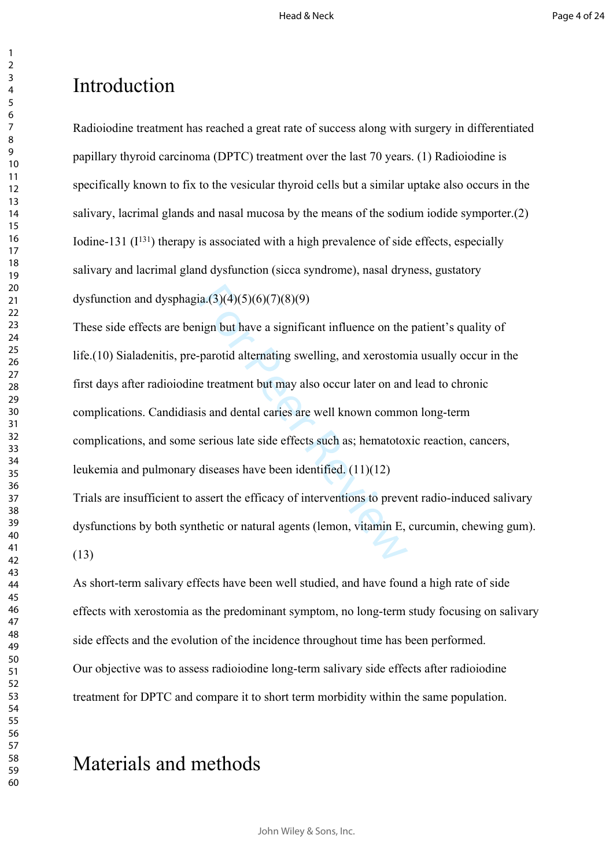## Introduction

Radioiodine treatment has reached a great rate of success along with surgery in differentiated papillary thyroid carcinoma (DPTC) treatment over the last 70 years. (1) Radioiodine is specifically known to fix to the vesicular thyroid cells but a similar uptake also occurs in the salivary, lacrimal glands and nasal mucosa by the means of the sodium iodide symporter.(2) Iodine-131  $(I<sup>131</sup>)$  therapy is associated with a high prevalence of side effects, especially salivary and lacrimal gland dysfunction (sicca syndrome), nasal dryness, gustatory dysfunction and dysphagia. $(3)(4)(5)(6)(7)(8)(9)$ 

 $\text{ia.}(3)(4)(5)(6)(7)(8)(9)$ <br>iign but have a significant influence on the<br>parotid alternating swelling, and xerostom<br>e treatment but may also occur later on and<br>is and dental caries are well known commo<br>serious late side effect These side effects are benign but have a significant influence on the patient's quality of life.(10) Sialadenitis, pre-parotid alternating swelling, and xerostomia usually occur in the first days after radioiodine treatment but may also occur later on and lead to chronic complications. Candidiasis and dental caries are well known common long-term complications, and some serious late side effects such as; hematotoxic reaction, cancers, leukemia and pulmonary diseases have been identified. (11)(12)

Trials are insufficient to assert the efficacy of interventions to prevent radio-induced salivary dysfunctions by both synthetic or natural agents (lemon, vitamin E, curcumin, chewing gum).

(13)

As short-term salivary effects have been well studied, and have found a high rate of side effects with xerostomia as the predominant symptom, no long-term study focusing on salivary side effects and the evolution of the incidence throughout time has been performed. Our objective was to assess radioiodine long-term salivary side effects after radioiodine treatment for DPTC and compare it to short term morbidity within the same population.

## Materials and methods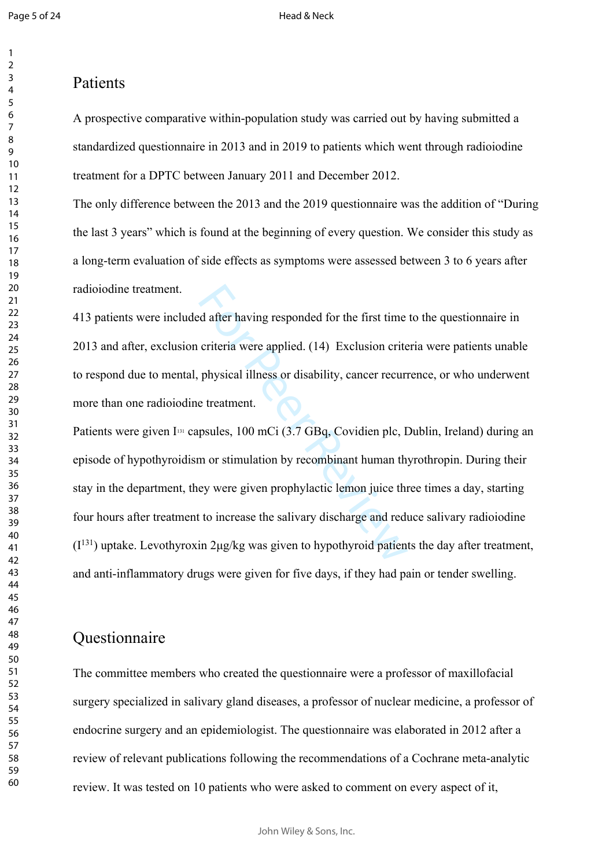$\mathbf{1}$ 

#### $\overline{2}$  $\overline{3}$  $\overline{4}$  $\overline{7}$

### Patients

A prospective comparative within-population study was carried out by having submitted a standardized questionnaire in 2013 and in 2019 to patients which went through radioiodine treatment for a DPTC between January 2011 and December 2012.

The only difference between the 2013 and the 2019 questionnaire was the addition of "During the last 3 years" which is found at the beginning of every question. We consider this study as a long-term evaluation of side effects as symptoms were assessed between 3 to 6 years after radioiodine treatment.

413 patients were included after having responded for the first time to the questionnaire in 2013 and after, exclusion criteria were applied. (14) Exclusion criteria were patients unable to respond due to mental, physical illness or disability, cancer recurrence, or who underwent more than one radioiodine treatment.

d after having responded for the first time<br>criteria were applied. (14) Exclusion crite<br>physical illness or disability, cancer recurn<br>e treatment.<br>psules, 100 mCi (3.7 GBq, Covidien plc, I<br>m or stimulation by recombinant h Patients were given I<sup>131</sup> capsules, 100 mCi (3.7 GBq, Covidien plc, Dublin, Ireland) during an episode of hypothyroidism or stimulation by recombinant human thyrothropin. During their stay in the department, they were given prophylactic lemon juice three times a day, starting four hours after treatment to increase the salivary discharge and reduce salivary radioiodine (I<sup>131</sup>) uptake. Levothyroxin 2 μg/kg was given to hypothyroid patients the day after treatment, and anti-inflammatory drugs were given for five days, if they had pain or tender swelling.

### **Ouestionnaire**

The committee members who created the questionnaire were a professor of maxillofacial surgery specialized in salivary gland diseases, a professor of nuclear medicine, a professor of endocrine surgery and an epidemiologist. The questionnaire was elaborated in 2012 after a review of relevant publications following the recommendations of a Cochrane meta-analytic review. It was tested on 10 patients who were asked to comment on every aspect of it,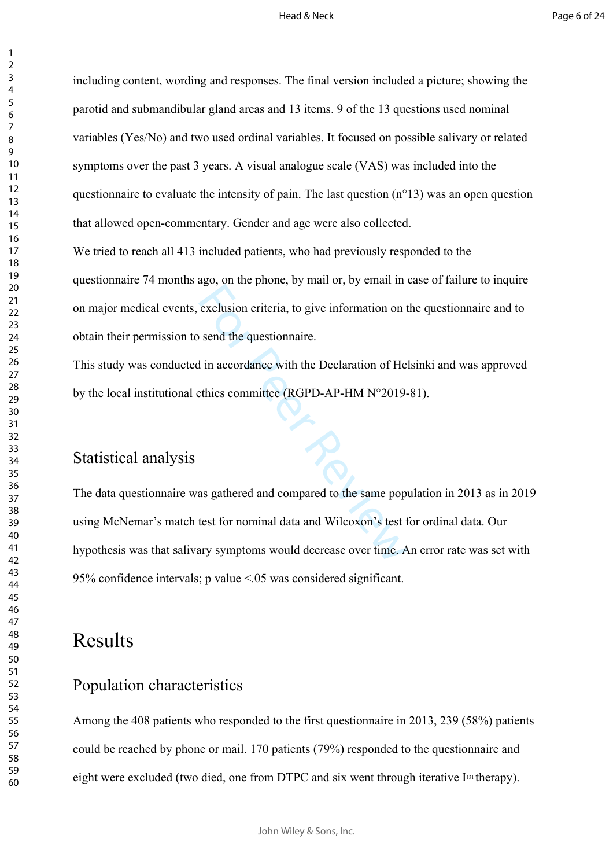#### Head & Neck

including content, wording and responses. The final version included a picture; showing the parotid and submandibular gland areas and 13 items. 9 of the 13 questions used nominal variables (Yes/No) and two used ordinal variables. It focused on possible salivary or related symptoms over the past 3 years. A visual analogue scale (VAS) was included into the questionnaire to evaluate the intensity of pain. The last question  $(n^{\circ}13)$  was an open question that allowed open-commentary. Gender and age were also collected.

We tried to reach all 413 included patients, who had previously responded to the questionnaire 74 months ago, on the phone, by mail or, by email in case of failure to inquire on major medical events, exclusion criteria, to give information on the questionnaire and to obtain their permission to send the questionnaire.

This study was conducted in accordance with the Declaration of Helsinki and was approved by the local institutional ethics committee (RGPD-AP-HM N°2019-81).

### Statistical analysis

exclusion criteria, to give information on t<br>send the questionnaire.<br>I in accordance with the Declaration of He<br>ethics committee (RGPD-AP-HM  $N^{\circ}2019$ -<br>as gathered and compared to the same pop<br>test for nominal data and The data questionnaire was gathered and compared to the same population in 2013 as in 2019 using McNemar's match test for nominal data and Wilcoxon's test for ordinal data. Our hypothesis was that salivary symptoms would decrease over time. An error rate was set with 95% confidence intervals; p value <.05 was considered significant.

## Results

## Population characteristics

Among the 408 patients who responded to the first questionnaire in 2013, 239 (58%) patients could be reached by phone or mail. 170 patients (79%) responded to the questionnaire and eight were excluded (two died, one from DTPC and six went through iterative I<sup>131</sup> therapy).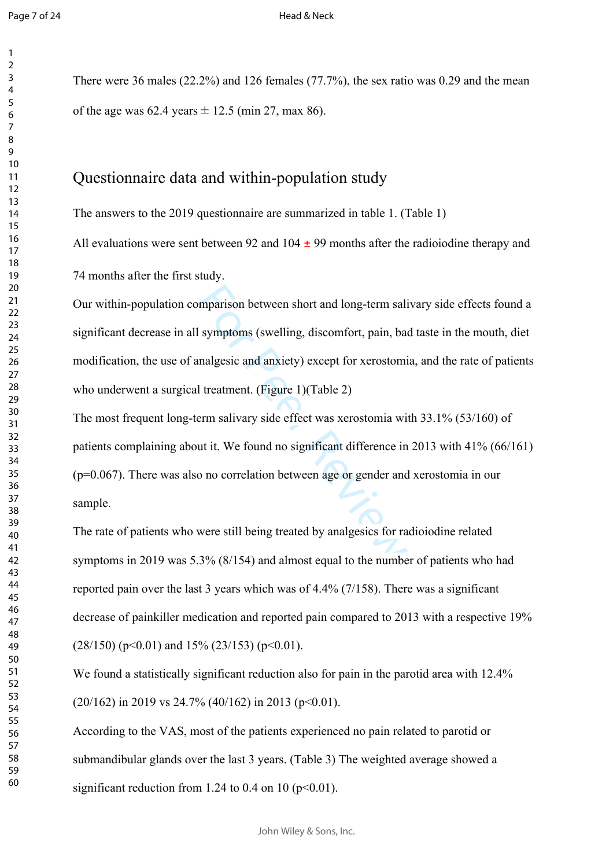#### Head & Neck

There were 36 males (22.2%) and 126 females (77.7%), the sex ratio was 0.29 and the mean of the age was  $62.4$  years  $\pm$  12.5 (min 27, max 86).

### Questionnaire data and within-population study

The answers to the 2019 questionnaire are summarized in table 1. (Table 1)

All evaluations were sent between 92 and  $104 \pm 99$  months after the radioiodine therapy and 74 months after the first study.

Our within-population comparison between short and long-term salivary side effects found a significant decrease in all symptoms (swelling, discomfort, pain, bad taste in the mouth, diet modification, the use of analgesic and anxiety) except for xerostomia, and the rate of patients who underwent a surgical treatment. (Figure 1)(Table 2)

mparison between short and long-term sali<br>symptoms (swelling, discomfort, pain, ba<br>nalgesic and anxiety) except for xerostomi<br>l treatment. (Figure 1)(Table 2)<br>erm salivary side effect was xerostomia wi<br>ut it. We found no s The most frequent long-term salivary side effect was xerostomia with 33.1% (53/160) of patients complaining about it. We found no significant difference in 2013 with 41% (66/161) (p=0.067). There was also no correlation between age or gender and xerostomia in our sample.

The rate of patients who were still being treated by analgesics for radioiodine related symptoms in 2019 was 5.3% (8/154) and almost equal to the number of patients who had reported pain over the last 3 years which was of 4.4% (7/158). There was a significant decrease of painkiller medication and reported pain compared to 2013 with a respective 19%  $(28/150)$  (p<0.01) and 15% (23/153) (p<0.01).

We found a statistically significant reduction also for pain in the parotid area with 12.4%  $(20/162)$  in 2019 vs 24.7%  $(40/162)$  in 2013 (p<0.01).

According to the VAS, most of the patients experienced no pain related to parotid or submandibular glands over the last 3 years. (Table 3) The weighted average showed a significant reduction from 1.24 to 0.4 on 10 ( $p<0.01$ ).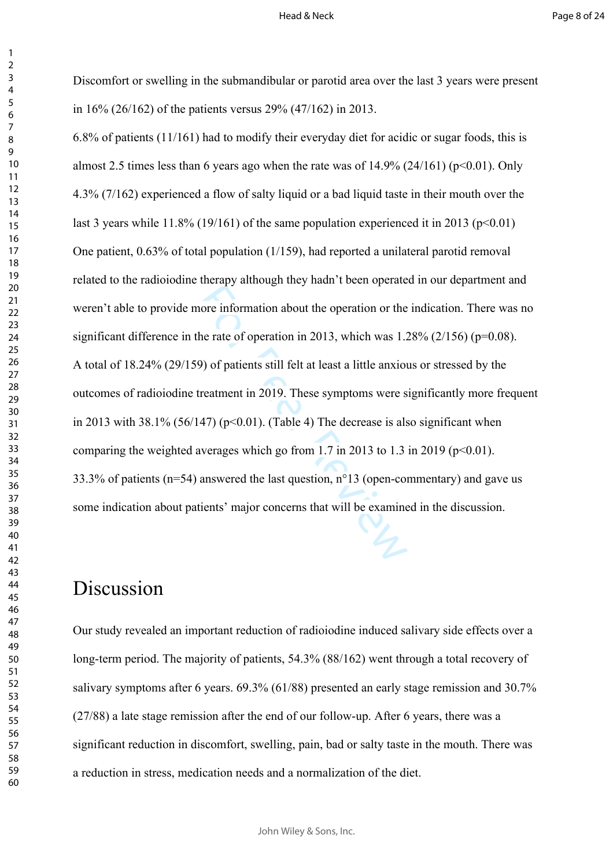Discomfort or swelling in the submandibular or parotid area over the last 3 years were present in 16% (26/162) of the patients versus 29% (47/162) in 2013.

For the peration about the operation or the<br>the rate of operation in 2013, which was 1.2<br>(a) of patients still felt at least a little anxious<br>reatment in 2019. These symptoms were s<br>(a)  $( p<0.01)$ . (Table 4) The decrease 6.8% of patients (11/161) had to modify their everyday diet for acidic or sugar foods, this is almost 2.5 times less than 6 years ago when the rate was of  $14.9\%$  (24/161) (p<0.01). Only 4.3% (7/162) experienced a flow of salty liquid or a bad liquid taste in their mouth over the last 3 years while 11.8% (19/161) of the same population experienced it in 2013 ( $p \le 0.01$ ) One patient,  $0.63\%$  of total population (1/159), had reported a unilateral parotid removal related to the radioiodine therapy although they hadn't been operated in our department and weren't able to provide more information about the operation or the indication. There was no significant difference in the rate of operation in 2013, which was  $1.28\%$  ( $2/156$ ) ( $p=0.08$ ). A total of 18.24% (29/159) of patients still felt at least a little anxious or stressed by the outcomes of radioiodine treatment in 2019. These symptoms were significantly more frequent in 2013 with 38.1% (56/147) ( $p<0.01$ ). (Table 4) The decrease is also significant when comparing the weighted averages which go from 1.7 in 2013 to 1.3 in 2019 ( $p<0.01$ ). 33.3% of patients (n=54) answered the last question, n°13 (open-commentary) and gave us some indication about patients' major concerns that will be examined in the discussion.

## Discussion

Our study revealed an important reduction of radioiodine induced salivary side effects over a long-term period. The majority of patients, 54.3% (88/162) went through a total recovery of salivary symptoms after 6 years. 69.3% (61/88) presented an early stage remission and 30.7% (27/88) a late stage remission after the end of our follow-up. After 6 years, there was a significant reduction in discomfort, swelling, pain, bad or salty taste in the mouth. There was a reduction in stress, medication needs and a normalization of the diet.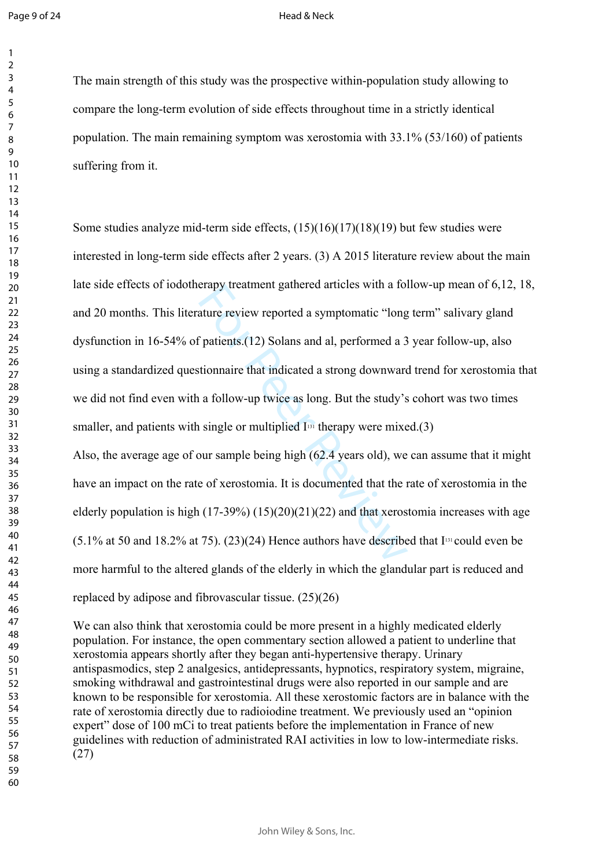$\mathbf{1}$  $\overline{2}$ 

#### Head & Neck

The main strength of this study was the prospective within-population study allowing to compare the long-term evolution of side effects throughout time in a strictly identical population. The main remaining symptom was xerostomia with 33.1% (53/160) of patients suffering from it.

Eventually detailed and a symptomatic "longton atture review reported a symptomatic "longton a 3<br>
For Patients.(12) Solans and al, performed a 3<br>
tionnaire that indicated a strong downward<br>
a follow-up twice as long. But Some studies analyze mid-term side effects, (15)(16)(17)(18)(19) but few studies were interested in long-term side effects after 2 years. (3) A 2015 literature review about the main late side effects of iodotherapy treatment gathered articles with a follow-up mean of 6,12, 18, and 20 months. This literature review reported a symptomatic "long term" salivary gland dysfunction in 16-54% of patients.(12) Solans and al, performed a 3 year follow-up, also using a standardized questionnaire that indicated a strong downward trend for xerostomia that we did not find even with a follow-up twice as long. But the study's cohort was two times smaller, and patients with single or multiplied  $I<sup>131</sup>$  therapy were mixed.(3)

Also, the average age of our sample being high (62.4 years old), we can assume that it might have an impact on the rate of xerostomia. It is documented that the rate of xerostomia in the elderly population is high  $(17-39%) (15)(20)(21)(22)$  and that xerostomia increases with age  $(5.1\%$  at 50 and 18.2% at 75). (23)(24) Hence authors have described that I<sup>131</sup> could even be more harmful to the altered glands of the elderly in which the glandular part is reduced and replaced by adipose and fibrovascular tissue. (25)(26)

We can also think that xerostomia could be more present in a highly medicated elderly population. For instance, the open commentary section allowed a patient to underline that xerostomia appears shortly after they began anti-hypertensive therapy. Urinary antispasmodics, step 2 analgesics, antidepressants, hypnotics, respiratory system, migraine, smoking withdrawal and gastrointestinal drugs were also reported in our sample and are known to be responsible for xerostomia. All these xerostomic factors are in balance with the rate of xerostomia directly due to radioiodine treatment. We previously used an "opinion expert" dose of 100 mCi to treat patients before the implementation in France of new guidelines with reduction of administrated RAI activities in low to low-intermediate risks. (27)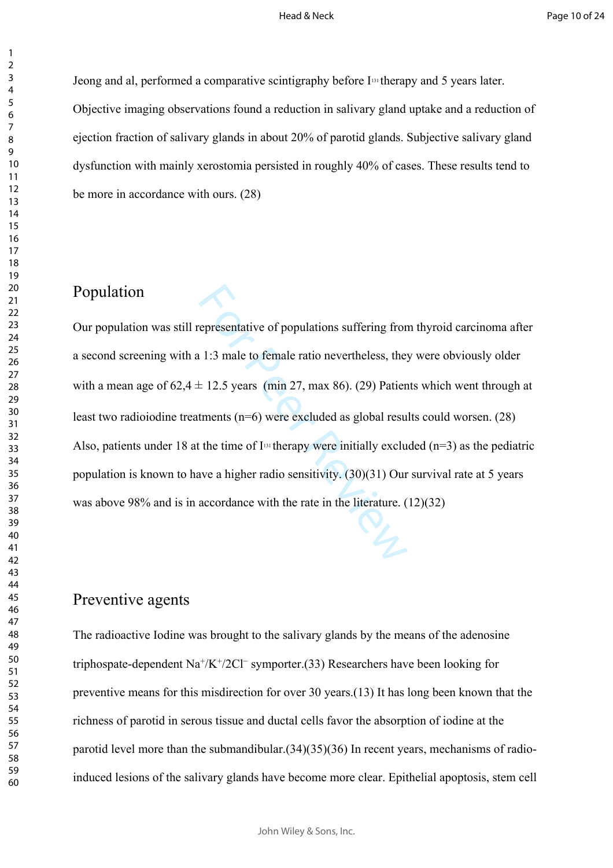#### Head & Neck

Jeong and al, performed a comparative scintigraphy before I<sup>131</sup> therapy and 5 years later. Objective imaging observations found a reduction in salivary gland uptake and a reduction of ejection fraction of salivary glands in about 20% of parotid glands. Subjective salivary gland dysfunction with mainly xerostomia persisted in roughly 40% of cases. These results tend to be more in accordance with ours. (28)

## Population

representative of populations suffering from<br>1:3 male to female ratio nevertheless, then<br>1:25 years (min 27, max 86). (29) Patien<br>tments (n=6) were excluded as global resu<br>1: the time of I<sup>131</sup> therapy were initially excl Our population was still representative of populations suffering from thyroid carcinoma after a second screening with a 1:3 male to female ratio nevertheless, they were obviously older with a mean age of  $62.4 \pm 12.5$  years (min 27, max 86). (29) Patients which went through at least two radioiodine treatments (n=6) were excluded as global results could worsen. (28) Also, patients under 18 at the time of I<sup>131</sup> therapy were initially excluded  $(n=3)$  as the pediatric population is known to have a higher radio sensitivity. (30)(31) Our survival rate at 5 years was above 98% and is in accordance with the rate in the literature. (12)(32)

### Preventive agents

The radioactive Iodine was brought to the salivary glands by the means of the adenosine triphospate-dependent Na<sup>+</sup> /K<sup>+</sup> /2Cl<sup>−</sup> symporter.(33) Researchers have been looking for preventive means for this misdirection for over 30 years.(13) It has long been known that the richness of parotid in serous tissue and ductal cells favor the absorption of iodine at the parotid level more than the submandibular.(34)(35)(36) In recent years, mechanisms of radioinduced lesions of the salivary glands have become more clear. Epithelial apoptosis, stem cell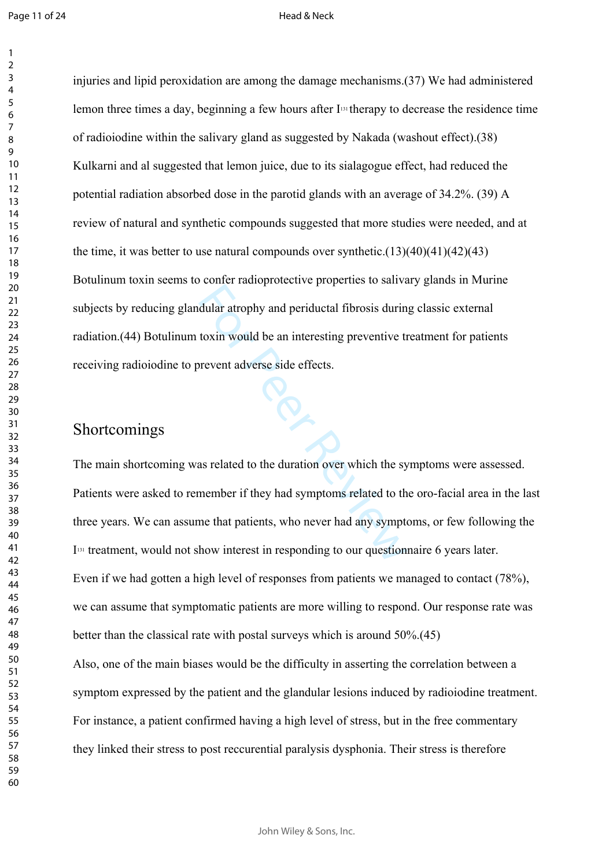$\mathbf{1}$  $\overline{2}$ 

#### Head & Neck

injuries and lipid peroxidation are among the damage mechanisms.(37) We had administered lemon three times a day, beginning a few hours after I131 therapy to decrease the residence time of radioiodine within the salivary gland as suggested by Nakada (washout effect).(38) Kulkarni and al suggested that lemon juice, due to its sialagogue effect, had reduced the potential radiation absorbed dose in the parotid glands with an average of 34.2%. (39) A review of natural and synthetic compounds suggested that more studies were needed, and at the time, it was better to use natural compounds over synthetic. $(13)(40)(41)(42)(43)$ Botulinum toxin seems to confer radioprotective properties to salivary glands in Murine subjects by reducing glandular atrophy and periductal fibrosis during classic external radiation.(44) Botulinum toxin would be an interesting preventive treatment for patients receiving radioiodine to prevent adverse side effects.

### Shortcomings

dular atrophy and periductal fibrosis durin<br>toxin would be an interesting preventive traversity<br>revent adverse side effects.<br>as related to the duration over which the sy<br>member if they had symptoms related to th<br>me that pa The main shortcoming was related to the duration over which the symptoms were assessed. Patients were asked to remember if they had symptoms related to the oro-facial area in the last three years. We can assume that patients, who never had any symptoms, or few following the treatment, would not show interest in responding to our questionnaire 6 years later. Even if we had gotten a high level of responses from patients we managed to contact (78%), we can assume that symptomatic patients are more willing to respond. Our response rate was better than the classical rate with postal surveys which is around 50%.(45) Also, one of the main biases would be the difficulty in asserting the correlation between a

For instance, a patient confirmed having a high level of stress, but in the free commentary they linked their stress to post reccurential paralysis dysphonia. Their stress is therefore

symptom expressed by the patient and the glandular lesions induced by radioiodine treatment.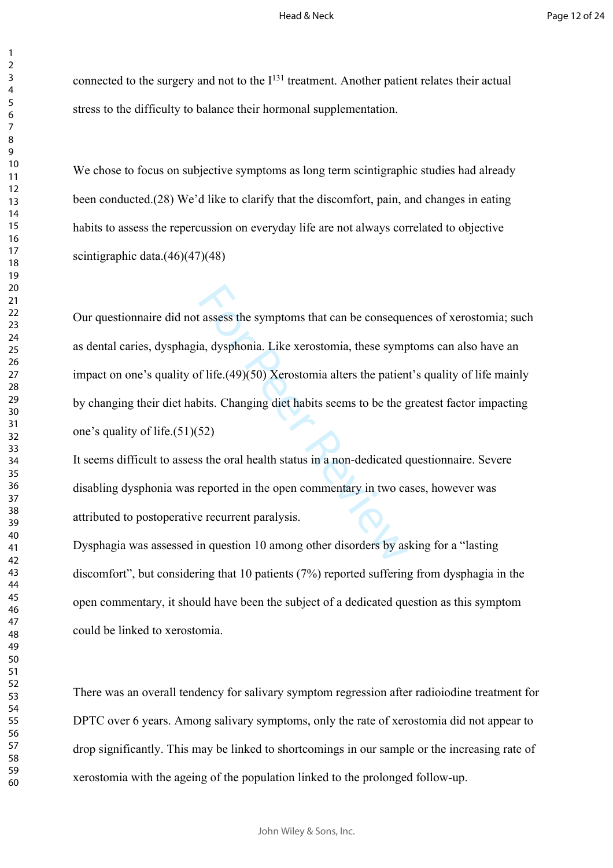connected to the surgery and not to the  $I<sup>131</sup>$  treatment. Another patient relates their actual stress to the difficulty to balance their hormonal supplementation.

We chose to focus on subjective symptoms as long term scintigraphic studies had already been conducted.(28) We'd like to clarify that the discomfort, pain, and changes in eating habits to assess the repercussion on everyday life are not always correlated to objective scintigraphic data.(46)(47)(48)

Example 1 assess the symptoms that can be conseque<br>a, dysphonia. Like xerostomia, these symp<br>f life.(49)(50) Xerostomia alters the patien<br>bits. Changing diet habits seems to be the g<br>52)<br>s the oral health status in a non-d Our questionnaire did not assess the symptoms that can be consequences of xerostomia; such as dental caries, dysphagia, dysphonia. Like xerostomia, these symptoms can also have an impact on one's quality of life.(49)(50) Xerostomia alters the patient's quality of life mainly by changing their diet habits. Changing diet habits seems to be the greatest factor impacting one's quality of life.(51)(52)

It seems difficult to assess the oral health status in a non-dedicated questionnaire. Severe disabling dysphonia was reported in the open commentary in two cases, however was attributed to postoperative recurrent paralysis.

Dysphagia was assessed in question 10 among other disorders by asking for a "lasting discomfort", but considering that 10 patients (7%) reported suffering from dysphagia in the open commentary, it should have been the subject of a dedicated question as this symptom could be linked to xerostomia.

There was an overall tendency for salivary symptom regression after radioiodine treatment for DPTC over 6 years. Among salivary symptoms, only the rate of xerostomia did not appear to drop significantly. This may be linked to shortcomings in our sample or the increasing rate of xerostomia with the ageing of the population linked to the prolonged follow-up.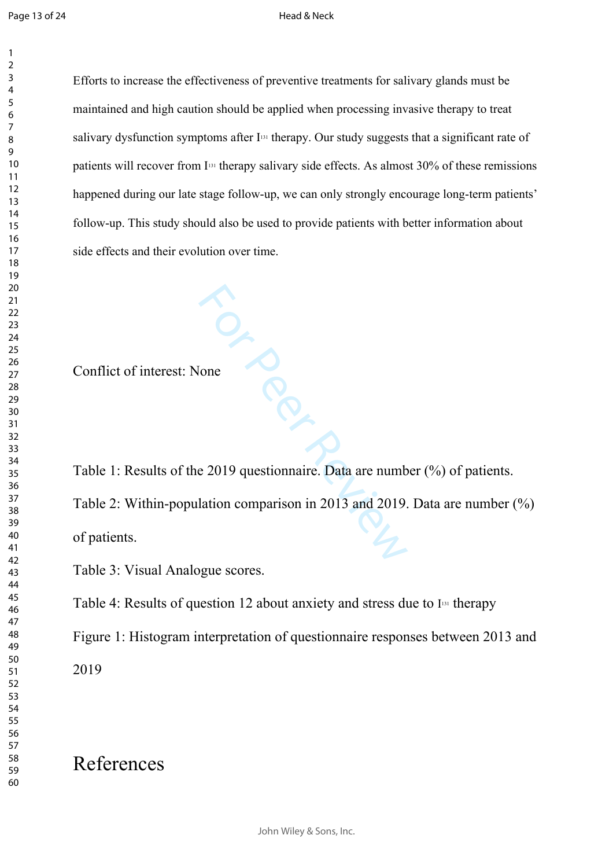$\mathbf{1}$ 

#### Head & Neck

Efforts to increase the effectiveness of preventive treatments for salivary glands must be maintained and high caution should be applied when processing invasive therapy to treat salivary dysfunction symptoms after I<sup>131</sup> therapy. Our study suggests that a significant rate of patients will recover from I131 therapy salivary side effects. As almost 30% of these remissions happened during our late stage follow-up, we can only strongly encourage long-term patients' follow-up. This study should also be used to provide patients with better information about side effects and their evolution over time.

Conflict of interest: None

Table 1: Results of the 2019 questionnaire. Data are number (%) of patients.

For Peer Reviewer 2019 questionnaire. Data are numb Table 2: Within-population comparison in 2013 and 2019. Data are number (%) of patients.

Table 3: Visual Analogue scores.

Table 4: Results of question 12 about anxiety and stress due to I<sup>131</sup> therapy

Figure 1: Histogram interpretation of questionnaire responses between 2013 and 

## References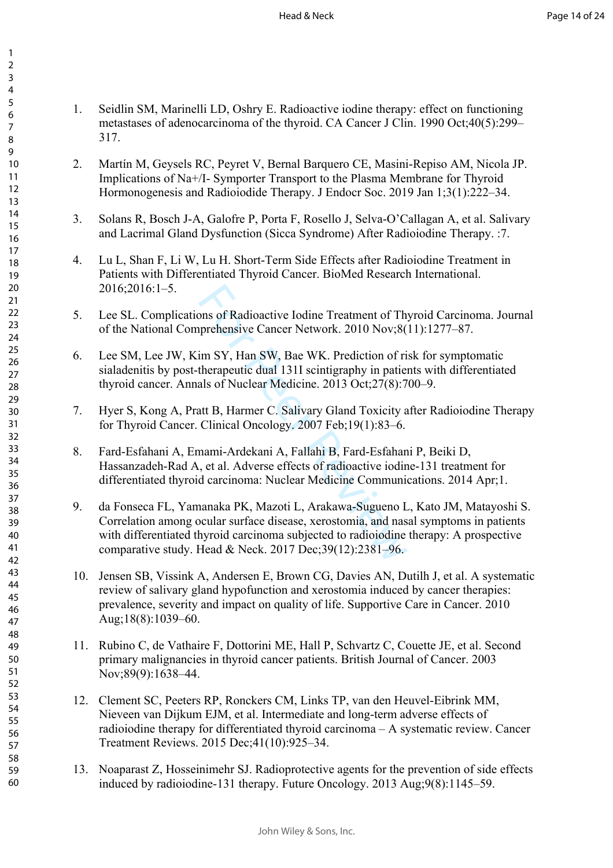- 1. Seidlin SM, Marinelli LD, Oshry E. Radioactive iodine therapy: effect on functioning metastases of adenocarcinoma of the thyroid. CA Cancer J Clin. 1990 Oct;40(5):299– 317.
- 2. Martín M, Geysels RC, Peyret V, Bernal Barquero CE, Masini-Repiso AM, Nicola JP. Implications of Na+/I- Symporter Transport to the Plasma Membrane for Thyroid Hormonogenesis and Radioiodide Therapy. J Endocr Soc. 2019 Jan 1;3(1):222–34.
- 3. Solans R, Bosch J-A, Galofre P, Porta F, Rosello J, Selva-O'Callagan A, et al. Salivary and Lacrimal Gland Dysfunction (Sicca Syndrome) After Radioiodine Therapy. :7.
- 4. Lu L, Shan F, Li W, Lu H. Short-Term Side Effects after Radioiodine Treatment in Patients with Differentiated Thyroid Cancer. BioMed Research International. 2016;2016:1–5.
- 5. Lee SL. Complications of Radioactive Iodine Treatment of Thyroid Carcinoma. Journal of the National Comprehensive Cancer Network. 2010 Nov;8(11):1277–87.
- 6. Lee SM, Lee JW, Kim SY, Han SW, Bae WK. Prediction of risk for symptomatic sialadenitis by post-therapeutic dual 131I scintigraphy in patients with differentiated thyroid cancer. Annals of Nuclear Medicine. 2013 Oct;27(8):700–9.
- 7. Hyer S, Kong A, Pratt B, Harmer C. Salivary Gland Toxicity after Radioiodine Therapy for Thyroid Cancer. Clinical Oncology. 2007 Feb;19(1):83–6.
- 8. Fard-Esfahani A, Emami-Ardekani A, Fallahi B, Fard-Esfahani P, Beiki D, Hassanzadeh-Rad A, et al. Adverse effects of radioactive iodine-131 treatment for differentiated thyroid carcinoma: Nuclear Medicine Communications. 2014 Apr;1.
- ons of Radioactive Iodine Treatment of The<br>prehensive Cancer Network. 2010 Nov;8(<br>im SY, Han SW, Bae WK. Prediction of ri<br>therapeutic dual 131I scintigraphy in patie<br>als of Nuclear Medicine. 2013 Oct;27(8):7<br>att B, Harmer 9. da Fonseca FL, Yamanaka PK, Mazoti L, Arakawa-Sugueno L, Kato JM, Matayoshi S. Correlation among ocular surface disease, xerostomia, and nasal symptoms in patients with differentiated thyroid carcinoma subjected to radioiodine therapy: A prospective comparative study. Head & Neck. 2017 Dec;39(12):2381–96.
- 10. Jensen SB, Vissink A, Andersen E, Brown CG, Davies AN, Dutilh J, et al. A systematic review of salivary gland hypofunction and xerostomia induced by cancer therapies: prevalence, severity and impact on quality of life. Supportive Care in Cancer. 2010 Aug;18(8):1039–60.
- 11. Rubino C, de Vathaire F, Dottorini ME, Hall P, Schvartz C, Couette JE, et al. Second primary malignancies in thyroid cancer patients. British Journal of Cancer. 2003 Nov;89(9):1638–44.
- 12. Clement SC, Peeters RP, Ronckers CM, Links TP, van den Heuvel-Eibrink MM, Nieveen van Dijkum EJM, et al. Intermediate and long-term adverse effects of radioiodine therapy for differentiated thyroid carcinoma – A systematic review. Cancer Treatment Reviews. 2015 Dec;41(10):925–34.
- 13. Noaparast Z, Hosseinimehr SJ. Radioprotective agents for the prevention of side effects induced by radioiodine-131 therapy. Future Oncology. 2013 Aug;9(8):1145–59.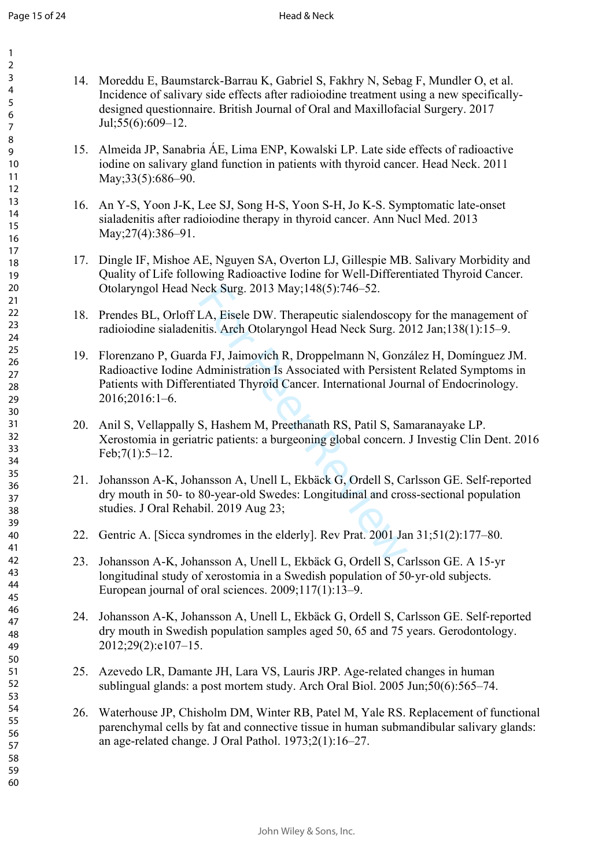$\mathbf{1}$  $\overline{2}$ 

- 14. Moreddu E, Baumstarck-Barrau K, Gabriel S, Fakhry N, Sebag F, Mundler O, et al. Incidence of salivary side effects after radioiodine treatment using a new specificallydesigned questionnaire. British Journal of Oral and Maxillofacial Surgery. 2017 Jul;55(6):609–12.
- 15. Almeida JP, Sanabria ÁE, Lima ENP, Kowalski LP. Late side effects of radioactive iodine on salivary gland function in patients with thyroid cancer. Head Neck. 2011 May; 33(5): 686–90.
- 16. An Y-S, Yoon J-K, Lee SJ, Song H-S, Yoon S-H, Jo K-S. Symptomatic late-onset sialadenitis after radioiodine therapy in thyroid cancer. Ann Nucl Med. 2013 May; 27(4): 386–91.
- 17. Dingle IF, Mishoe AE, Nguyen SA, Overton LJ, Gillespie MB. Salivary Morbidity and Quality of Life following Radioactive Iodine for Well-Differentiated Thyroid Cancer. Otolaryngol Head Neck Surg. 2013 May;148(5):746–52.
- 18. Prendes BL, Orloff LA, Eisele DW. Therapeutic sialendoscopy for the management of radioiodine sialadenitis. Arch Otolaryngol Head Neck Surg. 2012 Jan;138(1):15–9.
- eck Surg. 2013 May;148(5):746–52.<br>LA, Eisele DW. Therapeutic sialendoscopy<br>itis. Arch Otolaryngol Head Neck Surg. 2(<br>la FJ, Jaimovich R, Droppelmann N, Gonz<br>Administration Is Associated with Persiste<br>entiated Thyroid Cance 19. Florenzano P, Guarda FJ, Jaimovich R, Droppelmann N, González H, Domínguez JM. Radioactive Iodine Administration Is Associated with Persistent Related Symptoms in Patients with Differentiated Thyroid Cancer. International Journal of Endocrinology. 2016;2016:1–6.
- 20. Anil S, Vellappally S, Hashem M, Preethanath RS, Patil S, Samaranayake LP. Xerostomia in geriatric patients: a burgeoning global concern. J Investig Clin Dent. 2016 Feb;  $7(1)$ :  $5-12$ .
- 21. Johansson A-K, Johansson A, Unell L, Ekbäck G, Ordell S, Carlsson GE. Self-reported dry mouth in 50- to 80-year-old Swedes: Longitudinal and cross-sectional population studies. J Oral Rehabil. 2019 Aug 23;
- 22. Gentric A. [Sicca syndromes in the elderly]. Rev Prat. 2001 Jan 31;51(2):177–80.
- 23. Johansson A-K, Johansson A, Unell L, Ekbäck G, Ordell S, Carlsson GE. A 15 ‐yr longitudinal study of xerostomia in a Swedish population of 50-yr-old subjects. European journal of oral sciences. 2009;117(1):13–9.
- 24. Johansson A-K, Johansson A, Unell L, Ekbäck G, Ordell S, Carlsson GE. Self-reported dry mouth in Swedish population samples aged 50, 65 and 75 years. Gerodontology. 2012;29(2):e107–15.
- 25. Azevedo LR, Damante JH, Lara VS, Lauris JRP. Age-related changes in human sublingual glands: a post mortem study. Arch Oral Biol. 2005 Jun;50(6):565–74.
- 26. Waterhouse JP, Chisholm DM, Winter RB, Patel M, Yale RS. Replacement of functional parenchymal cells by fat and connective tissue in human submandibular salivary glands: an age-related change. J Oral Pathol. 1973;2(1):16–27.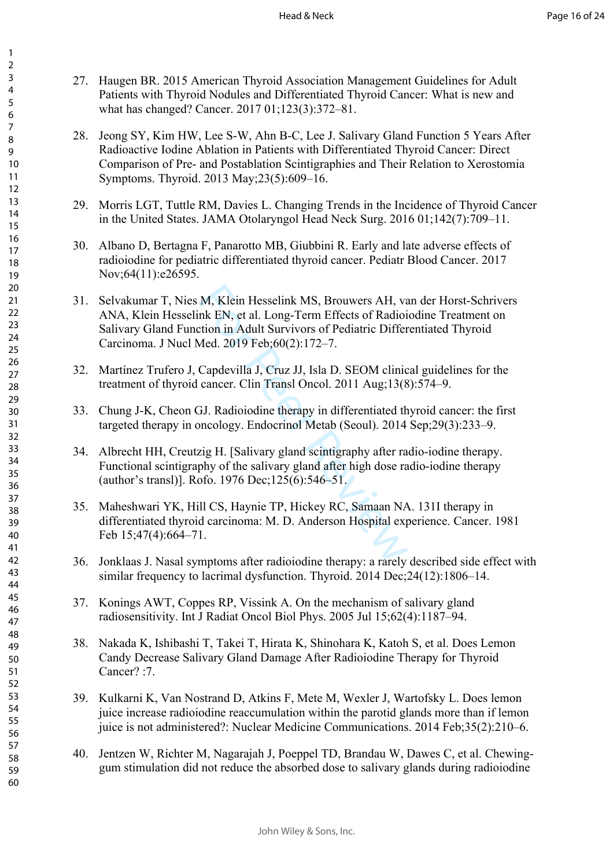- 27. Haugen BR. 2015 American Thyroid Association Management Guidelines for Adult Patients with Thyroid Nodules and Differentiated Thyroid Cancer: What is new and what has changed? Cancer. 2017 01;123(3):372–81.
- 28. Jeong SY, Kim HW, Lee S-W, Ahn B-C, Lee J. Salivary Gland Function 5 Years After Radioactive Iodine Ablation in Patients with Differentiated Thyroid Cancer: Direct Comparison of Pre- and Postablation Scintigraphies and Their Relation to Xerostomia Symptoms. Thyroid. 2013 May;23(5):609–16.
- 29. Morris LGT, Tuttle RM, Davies L. Changing Trends in the Incidence of Thyroid Cancer in the United States. JAMA Otolaryngol Head Neck Surg. 2016 01;142(7):709–11.
- 30. Albano D, Bertagna F, Panarotto MB, Giubbini R. Early and late adverse effects of radioiodine for pediatric differentiated thyroid cancer. Pediatr Blood Cancer. 2017 Nov; 64(11): e26595.
- M, Klein Hesselink MS, Brouwers AH, vank EN, et al. Long-Term Effects of Radioi<br>tion in Adult Survivors of Pediatric Differ<br>Med. 2019 Feb;60(2):172–7.<br>Capdevilla J, Cruz JJ, Isla D. SEOM clinic<br>cancer. Clin Transl Oncol. 2 31. Selvakumar T, Nies M, Klein Hesselink MS, Brouwers AH, van der Horst-Schrivers ANA, Klein Hesselink EN, et al. Long-Term Effects of Radioiodine Treatment on Salivary Gland Function in Adult Survivors of Pediatric Differentiated Thyroid Carcinoma. J Nucl Med. 2019 Feb;60(2):172–7.
- 32. Martínez Trufero J, Capdevilla J, Cruz JJ, Isla D. SEOM clinical guidelines for the treatment of thyroid cancer. Clin Transl Oncol. 2011 Aug;13(8):574–9.
- 33. Chung J-K, Cheon GJ. Radioiodine therapy in differentiated thyroid cancer: the first targeted therapy in oncology. Endocrinol Metab (Seoul). 2014 Sep;29(3):233–9.
- 34. Albrecht HH, Creutzig H. [Salivary gland scintigraphy after radio-iodine therapy. Functional scintigraphy of the salivary gland after high dose radio-iodine therapy (author's transl)]. Rofo. 1976 Dec;125(6):546–51.
- 35. Maheshwari YK, Hill CS, Haynie TP, Hickey RC, Samaan NA. 131I therapy in differentiated thyroid carcinoma: M. D. Anderson Hospital experience. Cancer. 1981 Feb 15;47(4):664–71.
- 36. Jonklaas J. Nasal symptoms after radioiodine therapy: a rarely described side effect with similar frequency to lacrimal dysfunction. Thyroid. 2014 Dec;24(12):1806–14.
- 37. Konings AWT, Coppes RP, Vissink A. On the mechanism of salivary gland radiosensitivity. Int J Radiat Oncol Biol Phys. 2005 Jul 15;62(4):1187–94.
- 38. Nakada K, Ishibashi T, Takei T, Hirata K, Shinohara K, Katoh S, et al. Does Lemon Candy Decrease Salivary Gland Damage After Radioiodine Therapy for Thyroid Cancer? :7.
- 39. Kulkarni K, Van Nostrand D, Atkins F, Mete M, Wexler J, Wartofsky L. Does lemon juice increase radioiodine reaccumulation within the parotid glands more than if lemon juice is not administered?: Nuclear Medicine Communications. 2014 Feb;35(2):210–6.
- 40. Jentzen W, Richter M, Nagarajah J, Poeppel TD, Brandau W, Dawes C, et al. Chewinggum stimulation did not reduce the absorbed dose to salivary glands during radioiodine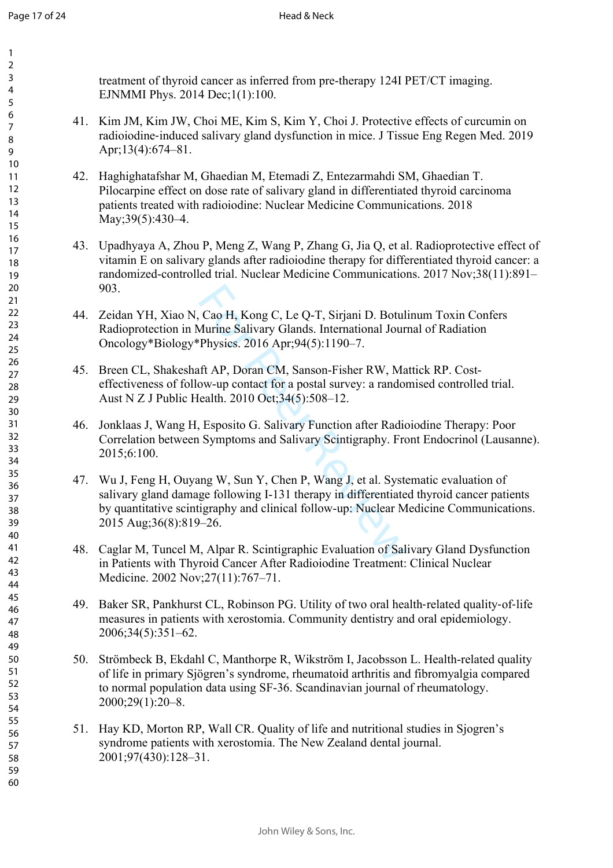| 1                            |
|------------------------------|
| ,                            |
| 3                            |
| 4                            |
| 5                            |
| 6                            |
|                              |
|                              |
| 8                            |
| $\mathbf$<br>)               |
| 10                           |
| 1<br>1                       |
| 1.<br>,                      |
| $\mathbf{1}$<br>3            |
| 1<br>4                       |
| 15                           |
| 16                           |
|                              |
| 1                            |
| 18                           |
| 19                           |
| 20                           |
| $\overline{21}$              |
| $\overline{2}$<br>,          |
| $\overline{2}$<br>ξ          |
| $\frac{2}{4}$                |
| 25                           |
| $\frac{26}{5}$               |
|                              |
| $\overline{2}$               |
| $\overline{28}$              |
| 29                           |
| 30                           |
| $\overline{\textbf{3}}$      |
| $\overline{\mathbf{3}}$<br>, |
| $\overline{\mathbf{3}}$<br>ξ |
| z,<br>4                      |
| 35                           |
|                              |
| 36                           |
| 37                           |
| $\overline{\bf 8}$           |
| 39                           |
| 40                           |
| 41                           |
| 42                           |
| 43                           |
| 44                           |
| 45                           |
| 46                           |
| 47                           |
|                              |
| 48                           |
| 49                           |
| 50                           |
| 51                           |
| 52                           |
| 5:<br>3                      |
| 54                           |
| 55                           |
| 56                           |
|                              |
| 57                           |
| 58                           |
| 59                           |
| 60                           |

treatment of thyroid cancer as inferred from pre-therapy 124I PET/CT imaging. EJNMMI Phys. 2014 Dec;1(1):100.

- 41. Kim JM, Kim JW, Choi ME, Kim S, Kim Y, Choi J. Protective effects of curcumin on radioiodine ‐induced salivary gland dysfunction in mice. J Tissue Eng Regen Med. 2019 Apr;13(4):674–81.
- 42. Haghighatafshar M, Ghaedian M, Etemadi Z, Entezarmahdi SM, Ghaedian T. Pilocarpine effect on dose rate of salivary gland in differentiated thyroid carcinoma patients treated with radioiodine: Nuclear Medicine Communications. 2018 May;39(5):430–4.
- 43. Upadhyaya A, Zhou P, Meng Z, Wang P, Zhang G, Jia Q, et al. Radioprotective effect of vitamin E on salivary glands after radioiodine therapy for differentiated thyroid cancer: a randomized-controlled trial. Nuclear Medicine Communications. 2017 Nov;38(11):891– 903.
- 44. Zeidan YH, Xiao N, Cao H, Kong C, Le Q-T, Sirjani D. Botulinum Toxin Confers Radioprotection in Murine Salivary Glands. International Journal of Radiation Oncology\*Biology\*Physics. 2016 Apr;94(5):1190–7.
- 45. Breen CL, Shakeshaft AP, Doran CM, Sanson-Fisher RW, Mattick RP. Costeffectiveness of follow-up contact for a postal survey: a randomised controlled trial. Aust N Z J Public Health. 2010 Oct;34(5):508–12.
- 46. Jonklaas J, Wang H, Esposito G. Salivary Function after Radioiodine Therapy: Poor Correlation between Symptoms and Salivary Scintigraphy. Front Endocrinol (Lausanne). 2015;6:100.
- Cao H, Kong C, Le Q-T, Sirjani D. Botul<br>
Murine Salivary Glands. International Journ<br>
Physics. 2016 Apr;94(5):1190–7.<br>
fit AP, Doran CM, Sanson-Fisher RW, Ma<br>
ow-up contact for a postal survey: a randor<br>
ealth. 2010 Oct;3 47. Wu J, Feng H, Ouyang W, Sun Y, Chen P, Wang J, et al. Systematic evaluation of salivary gland damage following I-131 therapy in differentiated thyroid cancer patients by quantitative scintigraphy and clinical follow-up: Nuclear Medicine Communications. 2015 Aug;36(8):819–26.
- 48. Caglar M, Tuncel M, Alpar R. Scintigraphic Evaluation of Salivary Gland Dysfunction in Patients with Thyroid Cancer After Radioiodine Treatment: Clinical Nuclear Medicine. 2002 Nov;27(11):767–71.
- 49. Baker SR, Pankhurst CL, Robinson PG. Utility of two oral health ‐related quality ‐of‐life measures in patients with xerostomia. Community dentistry and oral epidemiology. 2006;34(5):351–62.
- 50. Strömbeck B, Ekdahl C, Manthorpe R, Wikström I, Jacobsson L. Health-related quality of life in primary Sjögren's syndrome, rheumatoid arthritis and fibromyalgia compared to normal population data using SF-36. Scandinavian journal of rheumatology. 2000;29(1):20–8.
- 51. Hay KD, Morton RP, Wall CR. Quality of life and nutritional studies in Sjogren's syndrome patients with xerostomia. The New Zealand dental journal. 2001;97(430):128–31.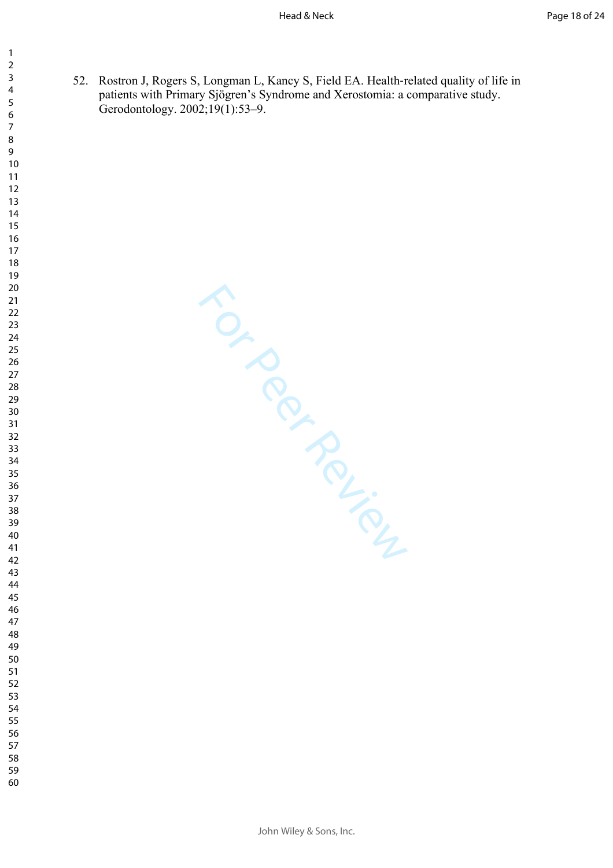52. Rostron J, Rogers S, Longman L, Kancy S, Field EA. Health-related quality of life in patients with Primary Sjögren's Syndrome and Xerostomia: a comparative study. Gerodontology. 2002;19(1):53–9.

For Perince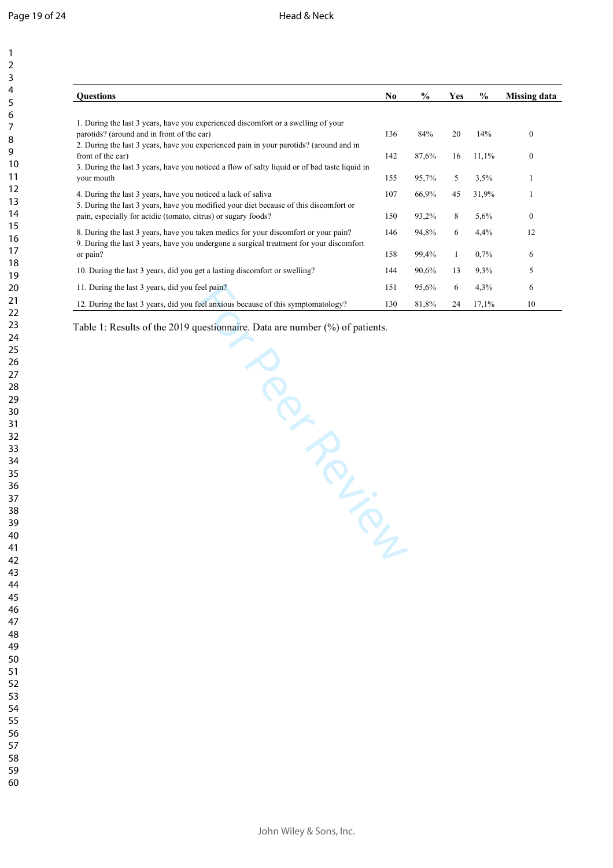$\mathbf{1}$ 

| <b>Ouestions</b>                                                                                                                     | No. | $\frac{6}{9}$ | <b>Yes</b> | $\%$  | <b>Missing data</b> |
|--------------------------------------------------------------------------------------------------------------------------------------|-----|---------------|------------|-------|---------------------|
|                                                                                                                                      |     |               |            |       |                     |
| 1. During the last 3 years, have you experienced discomfort or a swelling of your                                                    | 136 | 84%           | 20         | 14%   | $\theta$            |
| parotids? (around and in front of the ear)<br>2. During the last 3 years, have you experienced pain in your parotids? (around and in |     |               |            |       |                     |
| front of the ear)                                                                                                                    | 142 | 87,6%         | 16         | 11,1% | $\theta$            |
| 3. During the last 3 years, have you noticed a flow of salty liquid or of bad taste liquid in                                        |     |               |            |       |                     |
| your mouth                                                                                                                           | 155 | 95,7%         | 5          | 3,5%  |                     |
| 4. During the last 3 years, have you noticed a lack of saliva                                                                        | 107 | 66,9%         | 45         | 31,9% |                     |
| 5. During the last 3 years, have you modified your diet because of this discomfort or                                                |     |               |            |       |                     |
| pain, especially for acidic (tomato, citrus) or sugary foods?                                                                        | 150 | 93,2%         | 8          | 5,6%  | $\mathbf{0}$        |
| 8. During the last 3 years, have you taken medics for your discomfort or your pain?                                                  | 146 | 94,8%         | 6          | 4,4%  | 12                  |
| 9. During the last 3 years, have you undergone a surgical treatment for your discomfort                                              |     |               |            |       |                     |
| or pain?                                                                                                                             | 158 | 99,4%         | 1          | 0.7%  | 6                   |
| 10. During the last 3 years, did you get a lasting discomfort or swelling?                                                           | 144 | 90,6%         | 13         | 9,3%  | 5                   |
| 11. During the last 3 years, did you feel pain?                                                                                      | 151 | 95,6%         | 6          | 4,3%  | 6                   |
| 12. During the last 3 years, did you feel anxious because of this symptomatology?                                                    | 130 | 81,8%         | 24         | 17,1% | 10                  |

Manuel Manuel Contractions Table 1: Results of the 2019 questionnaire. Data are number (%) of patients.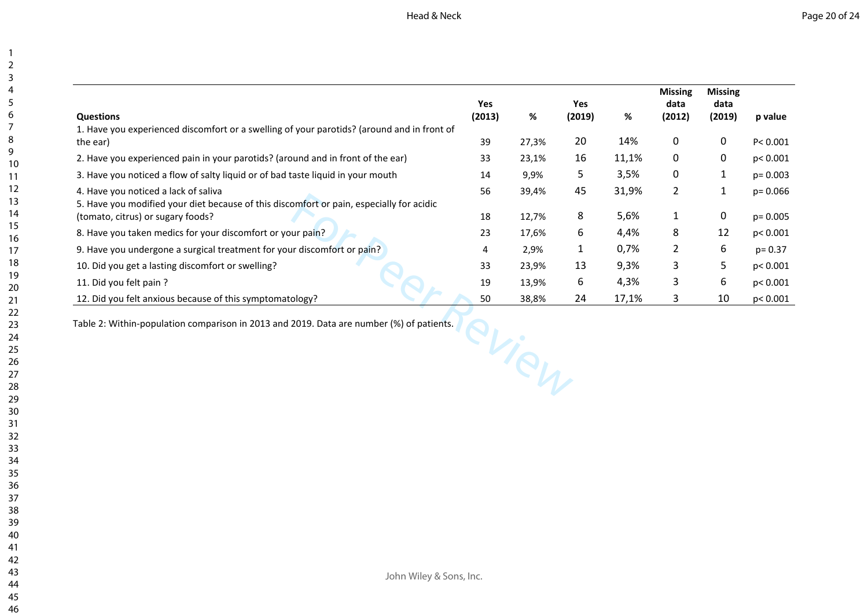| <b>Questions</b>                                                                                                                 | <b>Yes</b><br>(2013) | $\%$  | <b>Yes</b><br>(2019) | %     | <b>Missing</b><br>data<br>(2012) | <b>Missing</b><br>data<br>(2019) | p value     |
|----------------------------------------------------------------------------------------------------------------------------------|----------------------|-------|----------------------|-------|----------------------------------|----------------------------------|-------------|
| 1. Have you experienced discomfort or a swelling of your parotids? (around and in front of<br>the ear)                           | 39                   | 27,3% | 20                   | 14%   | $\mathbf 0$                      | 0                                | P < 0.001   |
| 2. Have you experienced pain in your parotids? (around and in front of the ear)                                                  | 33                   | 23,1% | 16                   | 11,1% | $\mathbf 0$                      | 0                                | p<0.001     |
| 3. Have you noticed a flow of salty liquid or of bad taste liquid in your mouth                                                  | 14                   | 9,9%  | 5                    | 3,5%  | 0                                | $\mathbf{1}$                     | $p = 0.003$ |
| 4. Have you noticed a lack of saliva<br>5. Have you modified your diet because of this discomfort or pain, especially for acidic | 56                   | 39,4% | 45                   | 31,9% | 2                                | $\mathbf{1}$                     | $p = 0.066$ |
| (tomato, citrus) or sugary foods?                                                                                                | 18                   | 12,7% | 8                    | 5,6%  | $\mathbf{1}$                     | 0                                | $p = 0.005$ |
| 8. Have you taken medics for your discomfort or your pain?                                                                       | 23                   | 17,6% | 6                    | 4,4%  | 8                                | 12                               | p<0.001     |
| 9. Have you undergone a surgical treatment for your discomfort or pain?                                                          | 4                    | 2,9%  | 1                    | 0,7%  | $\overline{2}$                   | 6                                | $p = 0.37$  |
| 10. Did you get a lasting discomfort or swelling?                                                                                | 33                   | 23,9% | 13                   | 9,3%  | 3                                | 5                                | p<0.001     |
| 11. Did you felt pain ?                                                                                                          | 19                   | 13,9% | 6                    | 4,3%  | 3                                | 6                                | p<0.001     |
| 12. Did you felt anxious because of this symptomatology?                                                                         | 50                   | 38,8% | 24                   | 17,1% | 3                                | 10                               | p<0.001     |
| Table 2: Within-population comparison in 2013 and 2019. Data are number (%) of patients.                                         |                      |       |                      |       |                                  |                                  |             |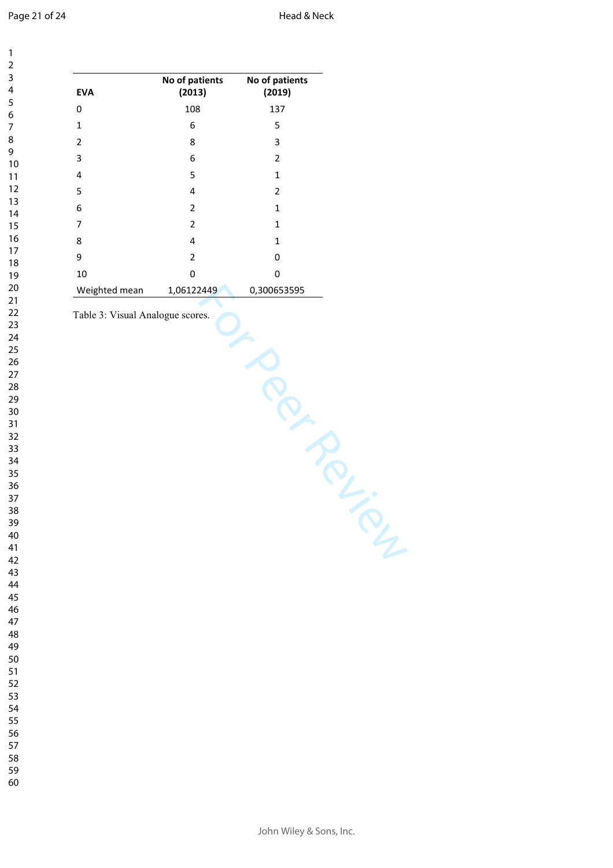$\mathbf{1}$  $\overline{2}$  $\overline{3}$  $\overline{4}$ 

| <b>EVA</b>    | No of patients<br>(2013) | No of patients<br>(2019) |
|---------------|--------------------------|--------------------------|
| 0             | 108                      | 137                      |
| $\mathbf{1}$  | 6                        | 5                        |
| 2             | 8                        | 3                        |
| 3             | 6                        | 2                        |
| 4             | 5                        | $\mathbf{1}$             |
| 5             | 4                        | 2                        |
| 6             | $\overline{2}$           | 1                        |
| 7             | $\overline{2}$           | $\mathbf{1}$             |
| 8             | 4                        | 1                        |
| 9             | $\overline{2}$           | 0                        |
| 10            | 0                        | 0                        |
| Weighted mean | 1,06122449               | 0,300653595              |
|               |                          |                          |

**PRAILLED REVIEW** Table 3: Visual Analogue scores.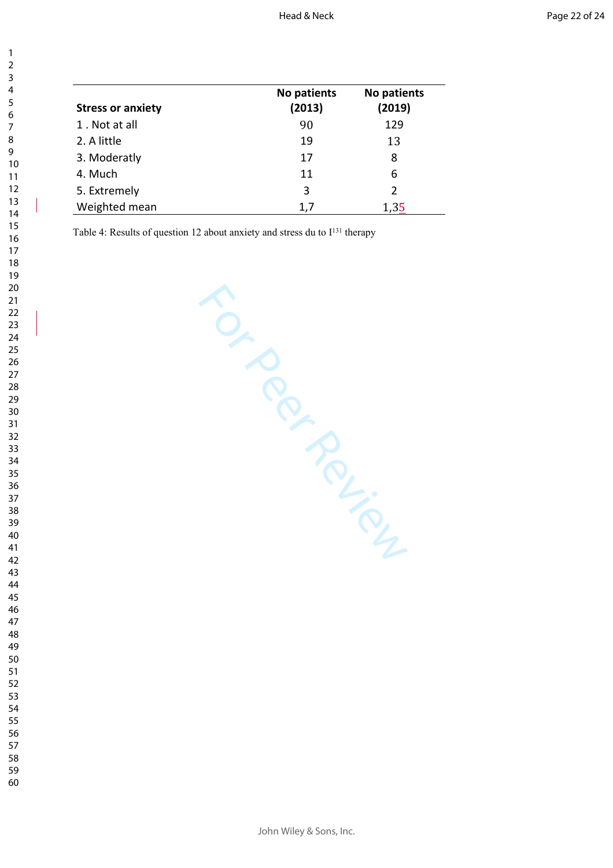|                          | <b>No patients</b> | No patients |
|--------------------------|--------------------|-------------|
| <b>Stress or anxiety</b> | (2013)             | (2019)      |
| 1. Not at all            | 90                 | 129         |
| 2. A little              | 19                 | 13          |
| 3. Moderatly             | 17                 | 8           |
| 4. Much                  | 11                 | 6           |
| 5. Extremely             | 3                  | っ           |
| Weighted mean            | 1.7                | 1,35        |

Table 4: Results of question 12 about anxiety and stress du to  $I^{131}$  therapy

TON PROPILLIPS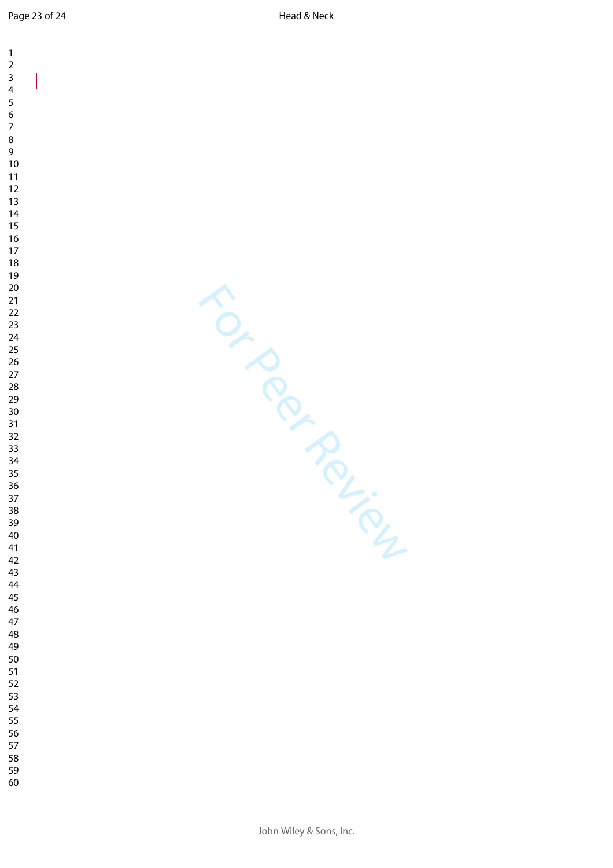$\mathbf{1}$  $\overline{2}$  $\overline{3}$  $\overline{4}$  $\overline{7}$ 

TON PROVISING